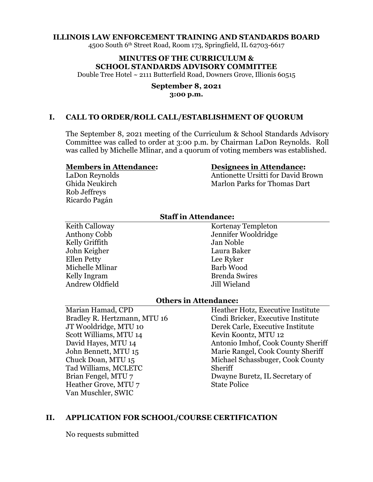#### **ILLINOIS LAW ENFORCEMENT TRAINING AND STANDARDS BOARD**

4500 South 6th Street Road, Room 173, Springfield, IL 62703-6617

# **MINUTES OF THE CURRICULUM & SCHOOL STANDARDS ADVISORY COMMITTEE**

Double Tree Hotel ~ 2111 Butterfield Road, Downers Grove, Illionis 60515

#### **September 8, 2021 3:00 p.m.**

#### **I. CALL TO ORDER/ROLL CALL/ESTABLISHMENT OF QUORUM**

The September 8, 2021 meeting of the Curriculum & School Standards Advisory Committee was called to order at 3:00 p.m. by Chairman LaDon Reynolds. Roll was called by Michelle Mlinar, and a quorum of voting members was established.

#### **Members in Attendance:**

LaDon Reynolds Ghida Neukirch Rob Jeffreys Ricardo Pagán

#### **Designees in Attendance:**

Antionette Ursitti for David Brown Marlon Parks for Thomas Dart

### **Staff in Attendance:**

Keith Calloway Anthony Cobb Kelly Griffith John Keigher Ellen Petty Michelle Mlinar Kelly Ingram Andrew Oldfield

Kortenay Templeton Jennifer Wooldridge Jan Noble Laura Baker Lee Ryker Barb Wood Brenda Swires Jill Wieland

#### **Others in Attendance:**

Marian Hamad, CPD Bradley R. Hertzmann, MTU 16 JT Wooldridge, MTU 10 Scott Williams, MTU 14 David Hayes, MTU 14 John Bennett, MTU 15 Chuck Doan, MTU 15 Tad Williams, MCLETC Brian Fengel, MTU 7 Heather Grove, MTU 7 Van Muschler, SWIC

Heather Hotz, Executive Institute Cindi Bricker, Executive Institute Derek Carle, Executive Institute Kevin Koontz, MTU 12 Antonio Imhof, Cook County Sheriff Marie Rangel, Cook County Sheriff Michael Schassbuger, Cook County Sheriff Dwayne Buretz, IL Secretary of State Police

### **II. APPLICATION FOR SCHOOL/COURSE CERTIFICATION**

No requests submitted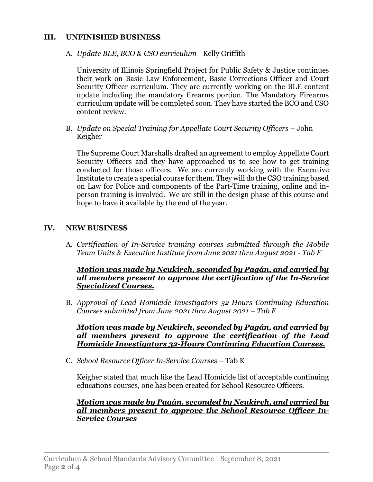# **III. UNFINISHED BUSINESS**

A. *Update BLE, BCO & CSO curriculum* –Kelly Griffith

University of Illinois Springfield Project for Public Safety & Justice continues their work on Basic Law Enforcement, Basic Corrections Officer and Court Security Officer curriculum. They are currently working on the BLE content update including the mandatory firearms portion. The Mandatory Firearms curriculum update will be completed soon. They have started the BCO and CSO content review.

B. *Update on Special Training for Appellate Court Security Officers* – John Keigher

The Supreme Court Marshalls drafted an agreement to employ Appellate Court Security Officers and they have approached us to see how to get training conducted for those officers. We are currently working with the Executive Institute to create a special course for them. They will do the CSO training based on Law for Police and components of the Part-Time training, online and inperson training is involved. We are still in the design phase of this course and hope to have it available by the end of the year.

# **IV. NEW BUSINESS**

A. *Certification of In-Service training courses submitted through the Mobile Team Units & Executive Institute from June 2021 thru August 2021 - Tab F*

#### *Motion was made by Neukirch, seconded by Pagán, and carried by all members present to approve the certification of the In-Service Specialized Courses.*

B. *Approval of Lead Homicide Investigators 32-Hours Continuing Education Courses submitted from June 2021 thru August 2021 – Tab F*

*Motion was made by Neukirch, seconded by Pagán, and carried by all members present to approve the certification of the Lead Homicide Investigators 32-Hours Continuing Education Courses.*

C. *School Resource Officer In-Service Courses* – Tab K

Keigher stated that much like the Lead Homicide list of acceptable continuing educations courses, one has been created for School Resource Officers.

### *Motion was made by Pagán, seconded by Neukirch, and carried by all members present to approve the School Resource Officer In-Service Courses*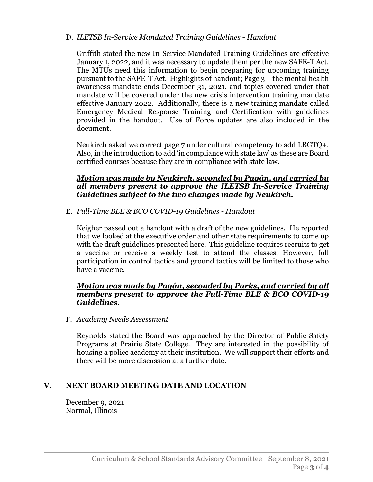# D. *ILETSB In-Service Mandated Training Guidelines - Handout*

Griffith stated the new In-Service Mandated Training Guidelines are effective January 1, 2022, and it was necessary to update them per the new SAFE-T Act. The MTUs need this information to begin preparing for upcoming training pursuant to the SAFE-T Act. Highlights of handout; Page 3 – the mental health awareness mandate ends December 31, 2021, and topics covered under that mandate will be covered under the new crisis intervention training mandate effective January 2022. Additionally, there is a new training mandate called Emergency Medical Response Training and Certification with guidelines provided in the handout. Use of Force updates are also included in the document.

Neukirch asked we correct page 7 under cultural competency to add LBGTQ+. Also, in the introduction to add 'in compliance with state law' as these are Board certified courses because they are in compliance with state law.

# *Motion was made by Neukirch, seconded by Pagán, and carried by all members present to approve the ILETSB In-Service Training Guidelines subject to the two changes made by Neukirch.*

E. *Full-Time BLE & BCO COVID-19 Guidelines - Handout*

Keigher passed out a handout with a draft of the new guidelines. He reported that we looked at the executive order and other state requirements to come up with the draft guidelines presented here. This guideline requires recruits to get a vaccine or receive a weekly test to attend the classes. However, full participation in control tactics and ground tactics will be limited to those who have a vaccine.

# *Motion was made by Pagán, seconded by Parks, and carried by all members present to approve the Full-Time BLE & BCO COVID-19 Guidelines.*

F. *Academy Needs Assessment*

Reynolds stated the Board was approached by the Director of Public Safety Programs at Prairie State College. They are interested in the possibility of housing a police academy at their institution. We will support their efforts and there will be more discussion at a further date.

# **V. NEXT BOARD MEETING DATE AND LOCATION**

December 9, 2021 Normal, Illinois